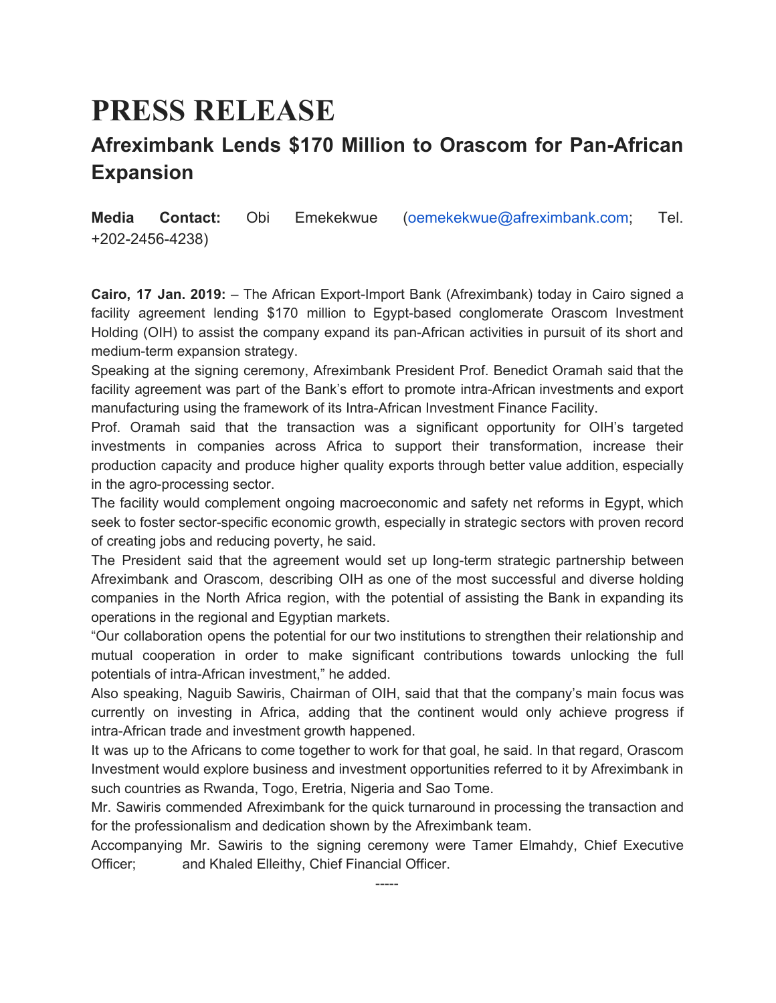## **PRESS RELEASE**

## **Afreximbank Lends \$170 Million to Orascom for Pan-African Expansion**

**Media Contact:** Obi Emekekwue (oemekekwue@afreximbank.com; Tel. +202-2456-4238)

**Cairo, 17 Jan. 2019:** – The African Export-Import Bank (Afreximbank) today in Cairo signed a facility agreement lending \$170 million to Egypt-based conglomerate Orascom Investment Holding (OIH) to assist the company expand its pan-African activities in pursuit of its short and medium-term expansion strategy.

Speaking at the signing ceremony, Afreximbank President Prof. Benedict Oramah said that the facility agreement was part of the Bank's effort to promote intra-African investments and export manufacturing using the framework of its Intra-African Investment Finance Facility.

Prof. Oramah said that the transaction was a significant opportunity for OIH's targeted investments in companies across Africa to support their transformation, increase their production capacity and produce higher quality exports through better value addition, especially in the agro-processing sector.

The facility would complement ongoing macroeconomic and safety net reforms in Egypt, which seek to foster sector-specific economic growth, especially in strategic sectors with proven record of creating jobs and reducing poverty, he said.

The President said that the agreement would set up long-term strategic partnership between Afreximbank and Orascom, describing OIH as one of the most successful and diverse holding companies in the North Africa region, with the potential of assisting the Bank in expanding its operations in the regional and Egyptian markets.

"Our collaboration opens the potential for our two institutions to strengthen their relationship and mutual cooperation in order to make significant contributions towards unlocking the full potentials of intra-African investment," he added.

Also speaking, Naguib Sawiris, Chairman of OIH, said that that the company's main focus was currently on investing in Africa, adding that the continent would only achieve progress if intra-African trade and investment growth happened.

It was up to the Africans to come together to work for that goal, he said. In that regard, Orascom Investment would explore business and investment opportunities referred to it by Afreximbank in such countries as Rwanda, Togo, Eretria, Nigeria and Sao Tome.

Mr. Sawiris commended Afreximbank for the quick turnaround in processing the transaction and for the professionalism and dedication shown by the Afreximbank team.

Accompanying Mr. Sawiris to the signing ceremony were Tamer Elmahdy, Chief Executive Officer; and Khaled Elleithy, Chief Financial Officer.

-----